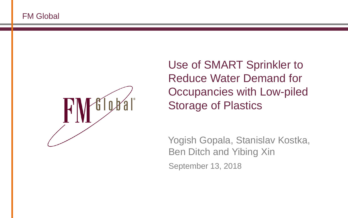

Use of SMART Sprinkler to Reduce Water Demand for Occupancies with Low-piled Storage of Plastics

Yogish Gopala, Stanislav Kostka, Ben Ditch and Yibing Xin September 13, 2018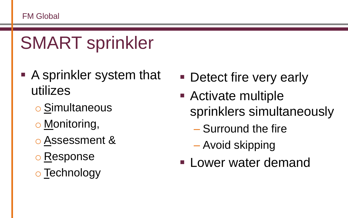# SMART sprinkler

- A sprinkler system that utilizes
	- o Simultaneous
	- o Monitoring,
	- o Assessment &
	- o Response
	- o Technology
- Detect fire very early
- Activate multiple sprinklers simultaneously
	- Surround the fire
	- Avoid skipping
- **ELOWER water demand**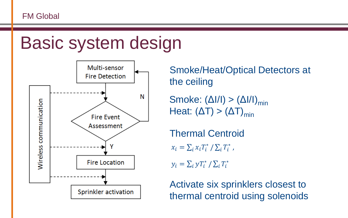## Basic system design



Smoke/Heat/Optical Detectors at the ceiling

Smoke:  $(\Delta I/I) > (\Delta I/I)_{\text{min}}$ Heat:  $(\Delta T) > (\Delta T)_{\text{min}}$ 

Thermal Centroid

 $x_i = \sum_i x_i T_i^* / \sum_i T_i^*$ ,

 $y_i = \sum_i yT_i^* / \sum_i T_i^*$ 

Activate six sprinklers closest to thermal centroid using solenoids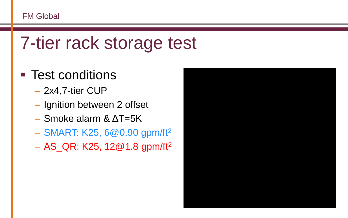### 7-tier rack storage test

#### ■ Test conditions

- 2x4,7-tier CUP
- Ignition between 2 offset
- Smoke alarm & ΔT=5K
- SMART: K25, 6@0.90 gpm/ft<sup>2</sup>
- $-$  AS\_QR: K25, 12@1.8 gpm/ft<sup>2</sup>

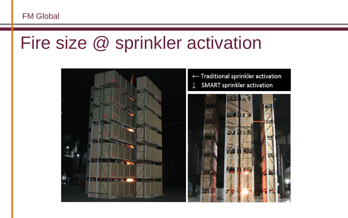### Fire size @ sprinkler activation

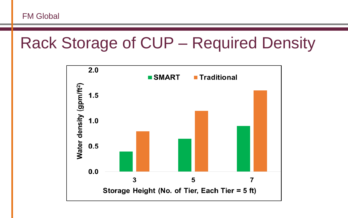#### Rack Storage of CUP – Required Density

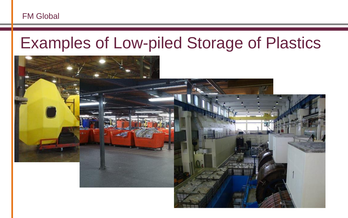#### Examples of Low-piled Storage of Plastics

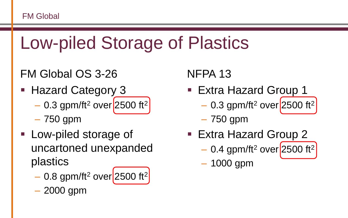# Low-piled Storage of Plastics

#### FM Global OS 3-26

- Hazard Category 3
	- $-$  0.3 gpm/ft<sup>2</sup> over 2500 ft<sup>2</sup>
	- 750 gpm
- Low-piled storage of uncartoned unexpanded plastics
	- $-$  0.8 gpm/ft<sup>2</sup> over 2500 ft<sup>2</sup>
	- 2000 gpm

#### NFPA 13

- Extra Hazard Group 1
	- $-$  0.3 gpm/ft<sup>2</sup> over 2500 ft<sup>2</sup>
	- 750 gpm
- Extra Hazard Group 2
	- $-$  0.4 gpm/ft<sup>2</sup> over 2500 ft<sup>2</sup>
	- 1000 gpm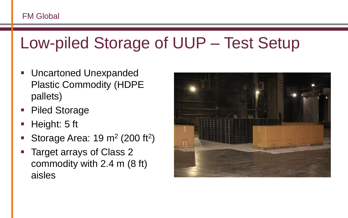### Low-piled Storage of UUP – Test Setup

- Uncartoned Unexpanded Plastic Commodity (HDPE pallets)
- Piled Storage
- **E** Height: 5 ft
- Storage Area:  $19 \text{ m}^2$  (200 ft<sup>2</sup>)
- Target arrays of Class 2 commodity with 2.4 m (8 ft) aisles

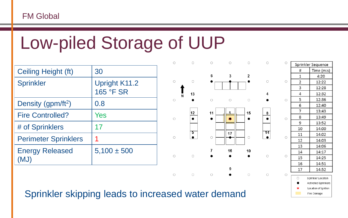## Low-piled Storage of UUP

| Ceiling Height (ft)            | 30                                |
|--------------------------------|-----------------------------------|
| <b>Sprinkler</b>               | <b>Upright K11.2</b><br>165 °F SR |
| Density (gpm/ft <sup>2</sup> ) | 0.8                               |
| <b>Fire Controlled?</b>        | Yes                               |
| # of Sprinklers                | 17                                |
| <b>Perimeter Sprinklers</b>    | 1                                 |
| <b>Energy Released</b><br>(MJ) | $5,100 \pm 500$                   |



| Ó | Sprinkler Sequence                     |                    |  |
|---|----------------------------------------|--------------------|--|
|   | #                                      | Time (m:s)         |  |
|   | 1                                      | 4:20               |  |
| Ō | 2                                      | 12:22              |  |
|   | 3                                      | 12:28              |  |
|   | 4                                      | 12:32              |  |
| Ó | 5                                      | 12:36              |  |
|   | 6                                      | 12:40              |  |
| Ó | 7                                      | 13:43              |  |
|   | 8                                      | 13:49              |  |
|   | 9                                      | 13:52              |  |
|   | 10                                     | 14:00              |  |
| Ō | 11                                     | 14:02              |  |
|   | 12                                     | 14:03              |  |
|   | 13                                     | 14:06              |  |
|   | 14                                     | 14:17              |  |
| Ò | 15                                     | 14:25              |  |
|   | 16                                     | 14:51              |  |
|   | 17                                     | 14:52              |  |
| n |                                        | Sprinkler Location |  |
|   | $\circ$<br><b>Activated Sprinklers</b> |                    |  |
|   | $\ast$<br>Location of Ignition         |                    |  |
|   | Fire Damage                            |                    |  |

#### Sprinkler skipping leads to increased water demand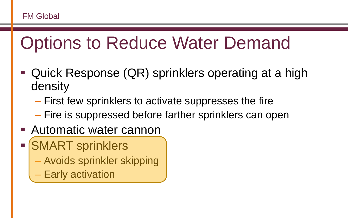# Options to Reduce Water Demand

- Quick Response (QR) sprinklers operating at a high density
	- First few sprinklers to activate suppresses the fire
	- Fire is suppressed before farther sprinklers can open
- Automatic water cannon
- SMART sprinklers
	- Avoids sprinkler skipping
	- **Early activation**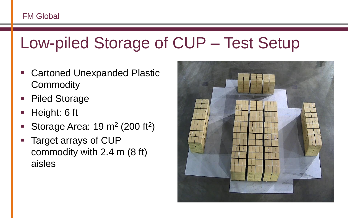### Low-piled Storage of CUP – Test Setup

- Cartoned Unexpanded Plastic **Commodity**
- Piled Storage
- Height: 6 ft
- Storage Area:  $19 \text{ m}^2$  (200 ft<sup>2</sup>)
- Target arrays of CUP commodity with 2.4 m (8 ft) aisles

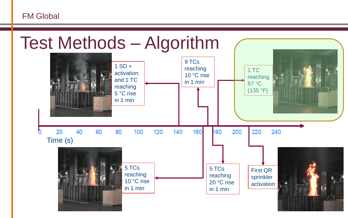

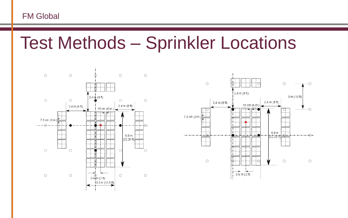Test Methods – Sprinkler Locations



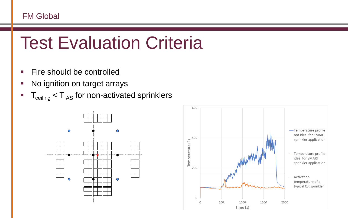# Test Evaluation Criteria

- Fire should be controlled
- No ignition on target arrays
- $\blacksquare$   $\blacksquare$   $\blacksquare$   $\blacksquare$   $\blacksquare$   $\blacksquare$   $\blacksquare$   $\blacksquare$   $\blacksquare$   $\blacksquare$   $\blacksquare$   $\blacksquare$   $\blacksquare$   $\blacksquare$   $\blacksquare$   $\blacksquare$   $\blacksquare$   $\blacksquare$   $\blacksquare$   $\blacksquare$   $\blacksquare$   $\blacksquare$   $\blacksquare$   $\blacksquare$   $\blacksquare$   $\blacksquare$   $\blacksquare$   $\blacksquare$   $\blacksquare$   $\blacksquare$   $\blacksquare$   $\blacks$



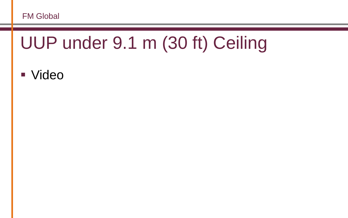# UUP under 9.1 m (30 ft) Ceiling

■ Video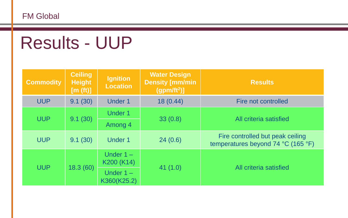# Results - UUP

| <b>Commodity</b> | <b>Ceiling</b><br><b>Height</b><br>[m (ft)] | <b>Ignition</b><br>Location | <b>Water Design</b><br><b>Density [mm/min</b><br>(gpm/ft <sup>2</sup> ) | <b>Results</b>                                                         |  |
|------------------|---------------------------------------------|-----------------------------|-------------------------------------------------------------------------|------------------------------------------------------------------------|--|
| <b>UUP</b>       | 9.1(30)                                     | <b>Under 1</b>              | 18(0.44)                                                                | Fire not controlled                                                    |  |
| <b>UUP</b>       | 9.1(30)                                     | <b>Under 1</b>              | 33(0.8)                                                                 |                                                                        |  |
|                  |                                             | Among 4                     |                                                                         | All criteria satisfied                                                 |  |
| <b>UUP</b>       | 9.1(30)                                     | <b>Under 1</b>              | 24(0.6)                                                                 | Fire controlled but peak ceiling<br>temperatures beyond 74 °C (165 °F) |  |
| <b>UUP</b>       | 18.3(60)                                    | Under $1 -$<br>K200 (K14)   | 41(1.0)                                                                 | All criteria satisfied                                                 |  |
|                  |                                             | Under $1 -$<br>K360(K25.2)  |                                                                         |                                                                        |  |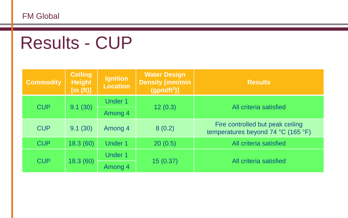# Results - CUP

| <b>Commodity</b> | <b>Ceiling</b><br><b>Height</b><br>[m (ft)] | <b>Ignition</b><br><b>Location</b> | <b>Water Design</b><br><b>Density [mm/min</b><br>(gpm/ft <sup>2</sup> ) | <b>Results</b>                                                                             |                        |
|------------------|---------------------------------------------|------------------------------------|-------------------------------------------------------------------------|--------------------------------------------------------------------------------------------|------------------------|
| <b>CUP</b>       | 9.1(30)                                     | <b>Under 1</b>                     | 12(0.3)                                                                 |                                                                                            | All criteria satisfied |
|                  |                                             | Among 4                            |                                                                         |                                                                                            |                        |
| <b>CUP</b>       | 9.1(30)                                     | Among 4                            | 8(0.2)                                                                  | Fire controlled but peak ceiling<br>temperatures beyond 74 $^{\circ}$ C (165 $^{\circ}$ F) |                        |
| <b>CUP</b>       | 18.3(60)                                    | <b>Under 1</b>                     | 20(0.5)                                                                 | All criteria satisfied                                                                     |                        |
| <b>CUP</b>       | 18.3 (60)                                   | <b>Under 1</b>                     | 15 (0.37)                                                               |                                                                                            | All criteria satisfied |
|                  |                                             | Among 4                            |                                                                         |                                                                                            |                        |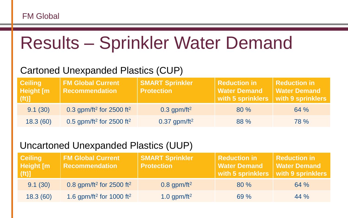## Results – Sprinkler Water Demand

#### Cartoned Unexpanded Plastics (CUP)

| <b>Ceiling</b><br><b>Height</b> [m]<br><b>Att) 7</b> | <b>FM Global Current</b><br><b>Recommendation</b> | <b>SMART Sprinkler</b><br><b>Protection</b> | Reduction in<br><b>Water Demand</b><br>With 5 sprinklers | Reduction in<br><b>Water Demand</b><br>with 9 sprinklers |
|------------------------------------------------------|---------------------------------------------------|---------------------------------------------|----------------------------------------------------------|----------------------------------------------------------|
| 9.1(30)                                              | 0.3 gpm/ft <sup>2</sup> for 2500 ft <sup>2</sup>  | $0.3$ gpm/ft <sup>2</sup>                   | $80\%$                                                   | 64%                                                      |
| 18.3(60)                                             | 0.5 gpm/ft <sup>2</sup> for 2500 ft <sup>2</sup>  | $0.37$ gpm/ft <sup>2</sup>                  | 88 %                                                     | <b>78</b> %                                              |

#### Uncartoned Unexpanded Plastics (UUP)

| <b>Ceiling</b><br>Height [m<br>(f <sup>t</sup> ) | <b>FM Global Current</b><br><b>Recommendation</b> | <b>SMART Sprinkler</b><br><b>Protection</b> | Reduction in<br>  Water Demand<br>with 5 sprinklers   with 9 sprinklers | Reduction in<br>  Water Demand |
|--------------------------------------------------|---------------------------------------------------|---------------------------------------------|-------------------------------------------------------------------------|--------------------------------|
| 9.1(30)                                          | 0.8 gpm/ft <sup>2</sup> for 2500 ft <sup>2</sup>  | $0.8$ gpm/ft <sup>2</sup>                   | $80\%$                                                                  | 64%                            |
| 18.3(60)                                         | 1.6 gpm/ft <sup>2</sup> for 1000 ft <sup>2</sup>  | 1.0 gpm/ft <sup>2</sup>                     | 69%                                                                     | $44\%$                         |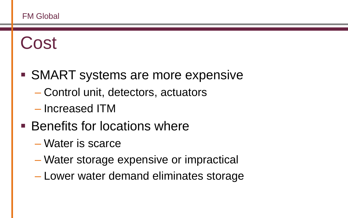# Cost

- SMART systems are more expensive
	- Control unit, detectors, actuators
	- Increased ITM
- Benefits for locations where
	- Water is scarce
	- Water storage expensive or impractical
	- Lower water demand eliminates storage